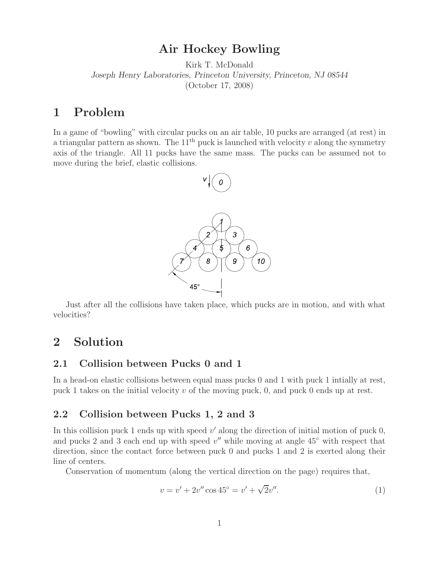## **Air Hockey Bowling**

Kirk T. McDonald *Joseph Henry Laboratories, Princeton University, Princeton, NJ 08544* (October 17, 2008)

### **1 Problem**

In a game of "bowling" with circular pucks on an air table, 10 pucks are arranged (at rest) in a triangular pattern as shown. The  $11<sup>th</sup>$  puck is launched with velocity  $v$  along the symmetry axis of the triangle. All 11 pucks have the same mass. The pucks can be assumed not to move during the brief, elastic collisions.



Just after all the collisions have taken place, which pucks are in motion, and with what velocities?

# **2 Solution**

### **2.1 Collision between Pucks 0 and 1**

In a head-on elastic collisions between equal mass pucks 0 and 1 with puck 1 intially at rest, puck 1 takes on the initial velocity *v* of the moving puck, 0, and puck 0 ends up at rest.

### **2.2 Collision between Pucks 1, 2 and 3**

In this collision puck 1 ends up with speed  $v'$  along the direction of initial motion of puck  $0$ , and pucks 2 and 3 each end up with speed  $v''$  while moving at angle 45<sup>°</sup> with respect that direction, since the contact force between puck 0 and pucks 1 and 2 is exerted along their line of centers.

Conservation of momentum (along the vertical direction on the page) requires that,

$$
v = v' + 2v'' \cos 45^\circ = v' + \sqrt{2}v''.
$$
 (1)